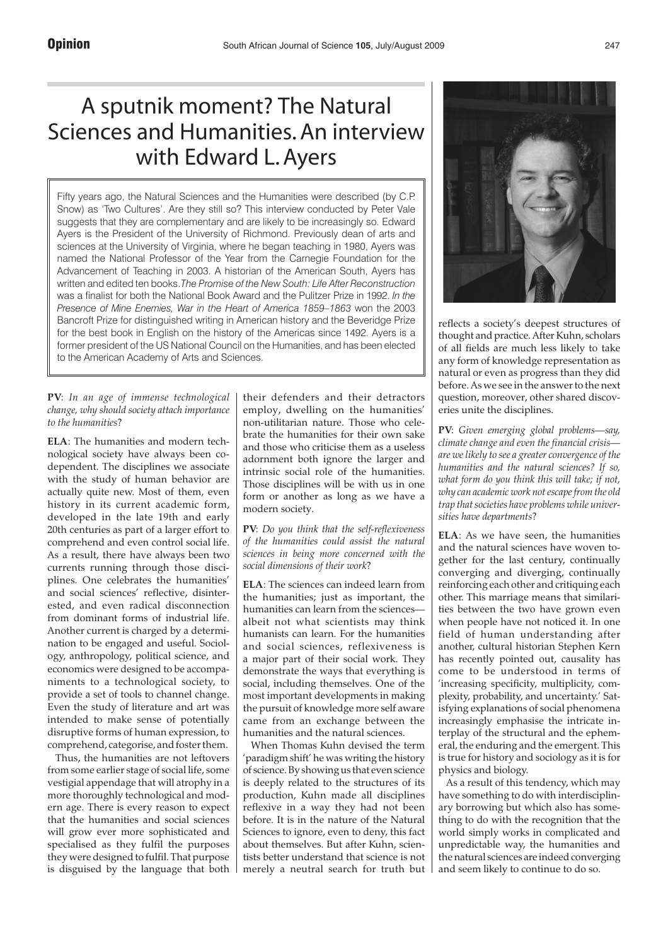## A sputnik moment? The Natural Sciences and Humanities. An interview with Edward L. Ayers

Fifty years ago, the Natural Sciences and the Humanities were described (by C.P. Snow) as 'Two Cultures'. Are they still so? This interview conducted by Peter Vale suggests that they are complementary and are likely to be increasingly so. Edward Ayers is the President of the University of Richmond. Previously dean of arts and sciences at the University of Virginia, where he began teaching in 1980, Ayers was named the National Professor of the Year from the Carnegie Foundation for the Advancement of Teaching in 2003. A historian of the American South, Ayers has written and edited ten books.*The Promise of the New South: Life After Reconstruction* was a finalist for both the National Book Award and the Pulitzer Prize in 1992. *In the Presence of Mine Enemies, War in the Heart of America 1859–1863* won the 2003 Bancroft Prize for distinguished writing in American history and the Beveridge Prize for the best book in English on the history of the Americas since 1492. Ayers is a former president of the US National Council on the Humanities, and has been elected to the American Academy of Arts and Sciences.

## **PV**: *In an age of immense technological change, why should society attach importance to the humanities*?

**ELA**: The humanities and modern technological society have always been codependent. The disciplines we associate with the study of human behavior are actually quite new. Most of them, even history in its current academic form, developed in the late 19th and early 20th centuries as part of a larger effort to comprehend and even control social life. As a result, there have always been two currents running through those disciplines. One celebrates the humanities' and social sciences' reflective, disinterested, and even radical disconnection from dominant forms of industrial life. Another current is charged by a determination to be engaged and useful. Sociology, anthropology, political science, and economics were designed to be accompaniments to a technological society, to provide a set of tools to channel change. Even the study of literature and art was intended to make sense of potentially disruptive forms of human expression, to comprehend, categorise, and foster them.

Thus, the humanities are not leftovers from some earlier stage of social life, some vestigial appendage that will atrophy in a more thoroughly technological and modern age. There is every reason to expect that the humanities and social sciences will grow ever more sophisticated and specialised as they fulfil the purposes they were designed to fulfil. That purpose is disguised by the language that both

their defenders and their detractors employ, dwelling on the humanities' non-utilitarian nature. Those who celebrate the humanities for their own sake and those who criticise them as a useless adornment both ignore the larger and intrinsic social role of the humanities. Those disciplines will be with us in one form or another as long as we have a modern society.

**PV**: *Do you think that the self-reflexiveness of the humanities could assist the natural sciences in being more concerned with the social dimensions of their work*?

**ELA**: The sciences can indeed learn from the humanities; just as important, the humanities can learn from the sciences albeit not what scientists may think humanists can learn. For the humanities and social sciences, reflexiveness is a major part of their social work. They demonstrate the ways that everything is social, including themselves. One of the most important developments in making the pursuit of knowledge more self aware came from an exchange between the humanities and the natural sciences.

When Thomas Kuhn devised the term 'paradigm shift' he was writing the history of science. By showing us that even science is deeply related to the structures of its production, Kuhn made all disciplines reflexive in a way they had not been before. It is in the nature of the Natural Sciences to ignore, even to deny, this fact about themselves. But after Kuhn, scientists better understand that science is not merely a neutral search for truth but



reflects a society's deepest structures of thought and practice. After Kuhn, scholars of all fields are much less likely to take any form of knowledge representation as natural or even as progress than they did before. As we see in the answer to the next question, moreover, other shared discoveries unite the disciplines.

**PV**: *Given emerging global problems—say, climate change and even the financial crisis are we likely to see a greater convergence of the humanities and the natural sciences? If so, what form do you think this will take; if not, why can academic work not escape from the old trap that societies have problems while universities have departments*?

**ELA**: As we have seen, the humanities and the natural sciences have woven together for the last century, continually converging and diverging, continually reinforcing each other and critiquing each other. This marriage means that similarities between the two have grown even when people have not noticed it. In one field of human understanding after another, cultural historian Stephen Kern has recently pointed out, causality has come to be understood in terms of 'increasing specificity, multiplicity, complexity, probability, and uncertainty.' Satisfying explanations of social phenomena increasingly emphasise the intricate interplay of the structural and the ephemeral, the enduring and the emergent. This is true for history and sociology as it is for physics and biology.

As a result of this tendency, which may have something to do with interdisciplinary borrowing but which also has something to do with the recognition that the world simply works in complicated and unpredictable way, the humanities and the natural sciences are indeed converging and seem likely to continue to do so.